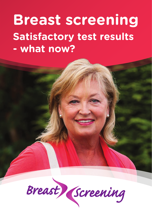# **Breast screening Satisfactory test results - what now?**

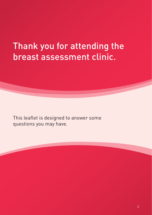## Thank you for attending the breast assessment clinic.

This leaflet is designed to answer some questions you may have.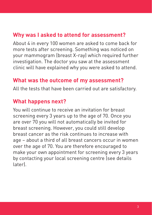### **Why was I asked to attend for assessment?**

About 4 in every 100 women are asked to come back for more tests after screening. Something was noticed on your mammogram (breast X-ray) which required further investigation. The doctor you saw at the assessment clinic will have explained why you were asked to attend.

#### **What was the outcome of my assessment?**

All the tests that have been carried out are satisfactory.

#### **What happens next?**

You will continue to receive an invitation for breast screening every 3 years up to the age of 70. Once you are over 70 you will not automatically be invited for breast screening. However, you could still develop breast cancer as the risk continues to increase with age – about a third of all breast cancers occur in women over the age of 70. You are therefore encouraged to make your own appointment for screening every 3 years by contacting your local screening centre (see details later).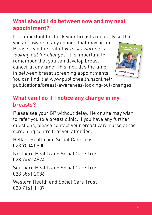### **What should I do between now and my next appointment?**

It is important to check your breasts regularly so that

you are aware of any change that may occur. Please read the leaflet Breast awareness: looking out for changes. It is important to remember that you can develop breast cancer at any time. This includes the time in between breast screening appointments. You can find it at www.publichealth.hscni.net/



publications/breast-awareness-looking-out-changes

#### **What can I do if I notice any change in my breasts?**

Please see your GP without delay. He or she may wish to refer you to a breast clinic. If you have any further questions, please contact your breast care nurse at the screening centre that you attended.

Belfast Health and Social Care Trust 028 9504 0900

Northern Health and Social Care Trust 028 9442 4874

Southern Health and Social Care Trust 028 3861 2086

Western Health and Social Care Trust 028 7161 1187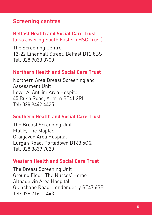#### **Screening centres**

#### **Belfast Health and Social Care Trust** (also covering South Eastern HSC Trust)

The Screening Centre 12-22 Linenhall Street, Belfast BT2 8BS Tel: 028 9033 3700

#### **Northern Health and Social Care Trust**

Northern Area Breast Screening and Assessment Unit Level A, Antrim Area Hospital 45 Bush Road, Antrim BT41 2RL Tel: 028 9442 4425

#### **Southern Health and Social Care Trust**

The Breast Screening Unit Flat F, The Maples Craigavon Area Hospital Lurgan Road, Portadown BT63 5QQ Tel: 028 3839 7020

#### **Western Health and Social Care Trust**

The Breast Screening Unit Ground Floor, The Nurses' Home Altnagelvin Area Hospital Glenshane Road, Londonderry BT47 6SB Tel: 028 7161 1443